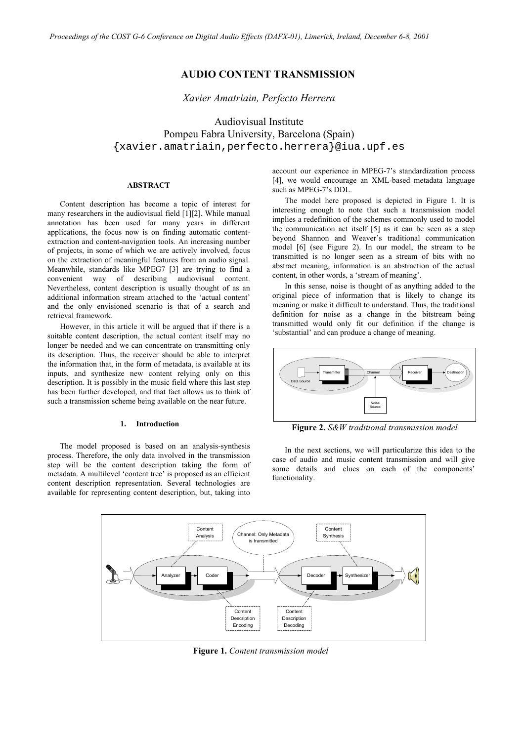# **AUDIO CONTENT TRANSMISSION**

*Xavier Amatriain, Perfecto Herrera* 

Audiovisual Institute Pompeu Fabra University, Barcelona (Spain) {xavier.amatriain,perfecto.herrera}@iua.upf.es

## **ABSTRACT**

Content description has become a topic of interest for many researchers in the audiovisual field [1][2]. While manual annotation has been used for many years in different applications, the focus now is on finding automatic contentextraction and content-navigation tools. An increasing number of projects, in some of which we are actively involved, focus on the extraction of meaningful features from an audio signal. Meanwhile, standards like MPEG7 [3] are trying to find a convenient way of describing audiovisual content. Nevertheless, content description is usually thought of as an additional information stream attached to the 'actual content' and the only envisioned scenario is that of a search and retrieval framework.

However, in this article it will be argued that if there is a suitable content description, the actual content itself may no longer be needed and we can concentrate on transmitting only its description. Thus, the receiver should be able to interpret the information that, in the form of metadata, is available at its inputs, and synthesize new content relying only on this description. It is possibly in the music field where this last step has been further developed, and that fact allows us to think of such a transmission scheme being available on the near future.

#### **1. Introduction**

The model proposed is based on an analysis-synthesis process. Therefore, the only data involved in the transmission step will be the content description taking the form of metadata. A multilevel 'content tree' is proposed as an efficient content description representation. Several technologies are available for representing content description, but, taking into account our experience in MPEG-7's standardization process [4], we would encourage an XML-based metadata language such as MPEG-7's DDL.

The model here proposed is depicted in Figure 1. It is interesting enough to note that such a transmission model implies a redefinition of the schemes commonly used to model the communication act itself [5] as it can be seen as a step beyond Shannon and Weaver's traditional communication model [6] (see Figure 2). In our model, the stream to be transmitted is no longer seen as a stream of bits with no abstract meaning, information is an abstraction of the actual content, in other words, a 'stream of meaning'.

In this sense, noise is thought of as anything added to the original piece of information that is likely to change its meaning or make it difficult to understand. Thus, the traditional definition for noise as a change in the bitstream being transmitted would only fit our definition if the change is 'substantial' and can produce a change of meaning.



**Figure 2.** *S&W traditional transmission model*

In the next sections, we will particularize this idea to the case of audio and music content transmission and will give some details and clues on each of the components' functionality.



**Figure 1.** *Content transmission model*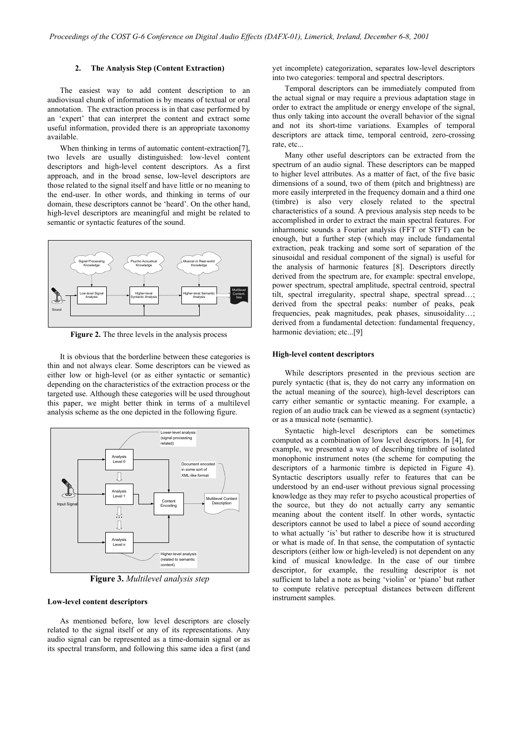#### **2. The Analysis Step (Content Extraction)**

The easiest way to add content description to an audiovisual chunk of information is by means of textual or oral annotation. The extraction process is in that case performed by an 'expert' that can interpret the content and extract some useful information, provided there is an appropriate taxonomy available.

When thinking in terms of automatic content-extraction[7], two levels are usually distinguished: low-level content descriptors and high-level content descriptors. As a first approach, and in the broad sense, low-level descriptors are those related to the signal itself and have little or no meaning to the end-user. In other words, and thinking in terms of our domain, these descriptors cannot be 'heard'. On the other hand, high-level descriptors are meaningful and might be related to semantic or syntactic features of the sound.



**Figure 2.** The three levels in the analysis process

It is obvious that the borderline between these categories is thin and not always clear. Some descriptors can be viewed as either low or high-level (or as either syntactic or semantic) depending on the characteristics of the extraction process or the targeted use. Although these categories will be used throughout this paper, we might better think in terms of a multilevel analysis scheme as the one depicted in the following figure.



**Figure 3.** *Multilevel analysis step*

#### **Low-level content descriptors**

As mentioned before, low level descriptors are closely related to the signal itself or any of its representations. Any audio signal can be represented as a time-domain signal or as its spectral transform, and following this same idea a first (and yet incomplete) categorization, separates low-level descriptors into two categories: temporal and spectral descriptors.

Temporal descriptors can be immediately computed from the actual signal or may require a previous adaptation stage in order to extract the amplitude or energy envelope of the signal, thus only taking into account the overall behavior of the signal and not its short-time variations. Examples of temporal descriptors are attack time, temporal centroid, zero-crossing rate, etc...

Many other useful descriptors can be extracted from the spectrum of an audio signal. These descriptors can be mapped to higher level attributes. As a matter of fact, of the five basic dimensions of a sound, two of them (pitch and brightness) are more easily interpreted in the frequency domain and a third one (timbre) is also very closely related to the spectral characteristics of a sound. A previous analysis step needs to be accomplished in order to extract the main spectral features. For inharmonic sounds a Fourier analysis (FFT or STFT) can be enough, but a further step (which may include fundamental extraction, peak tracking and some sort of separation of the sinusoidal and residual component of the signal) is useful for the analysis of harmonic features [8]. Descriptors directly derived from the spectrum are, for example: spectral envelope, power spectrum, spectral amplitude, spectral centroid, spectral tilt, spectral irregularity, spectral shape, spectral spread…; derived from the spectral peaks: number of peaks, peak frequencies, peak magnitudes, peak phases, sinusoidality…; derived from a fundamental detection: fundamental frequency, harmonic deviation; etc...[9]

## **High-level content descriptors**

While descriptors presented in the previous section are purely syntactic (that is, they do not carry any information on the actual meaning of the source), high-level descriptors can carry either semantic or syntactic meaning. For example, a region of an audio track can be viewed as a segment (syntactic) or as a musical note (semantic).

Syntactic high-level descriptors can be sometimes computed as a combination of low level descriptors. In [4], for example, we presented a way of describing timbre of isolated monophonic instrument notes (the scheme for computing the descriptors of a harmonic timbre is depicted in Figure 4). Syntactic descriptors usually refer to features that can be understood by an end-user without previous signal processing knowledge as they may refer to psycho acoustical properties of the source, but they do not actually carry any semantic meaning about the content itself. In other words, syntactic descriptors cannot be used to label a piece of sound according to what actually 'is' but rather to describe how it is structured or what is made of. In that sense, the computation of syntactic descriptors (either low or high-leveled) is not dependent on any kind of musical knowledge. In the case of our timbre descriptor, for example, the resulting descriptor is not sufficient to label a note as being 'violin' or 'piano' but rather to compute relative perceptual distances between different instrument samples.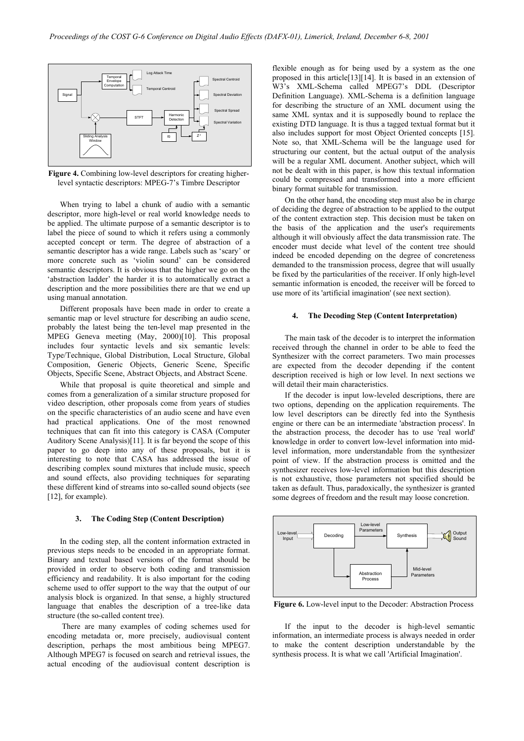

**Figure 4.** Combining low-level descriptors for creating higherlevel syntactic descriptors: MPEG-7's Timbre Descriptor

When trying to label a chunk of audio with a semantic descriptor, more high-level or real world knowledge needs to be applied. The ultimate purpose of a semantic descriptor is to label the piece of sound to which it refers using a commonly accepted concept or term. The degree of abstraction of a semantic descriptor has a wide range. Labels such as 'scary' or more concrete such as 'violin sound' can be considered semantic descriptors. It is obvious that the higher we go on the 'abstraction ladder' the harder it is to automatically extract a description and the more possibilities there are that we end up using manual annotation.

Different proposals have been made in order to create a semantic map or level structure for describing an audio scene, probably the latest being the ten-level map presented in the MPEG Geneva meeting (May, 2000)[10]. This proposal includes four syntactic levels and six semantic levels: Type/Technique, Global Distribution, Local Structure, Global Composition, Generic Objects, Generic Scene, Specific Objects, Specific Scene, Abstract Objects, and Abstract Scene.

While that proposal is quite theoretical and simple and comes from a generalization of a similar structure proposed for video description, other proposals come from years of studies on the specific characteristics of an audio scene and have even had practical applications. One of the most renowned techniques that can fit into this category is CASA (Computer Auditory Scene Analysis)[11]. It is far beyond the scope of this paper to go deep into any of these proposals, but it is interesting to note that CASA has addressed the issue of describing complex sound mixtures that include music, speech and sound effects, also providing techniques for separating these different kind of streams into so-called sound objects (see [12], for example).

#### **3. The Coding Step (Content Description)**

In the coding step, all the content information extracted in previous steps needs to be encoded in an appropriate format. Binary and textual based versions of the format should be provided in order to observe both coding and transmission efficiency and readability. It is also important for the coding scheme used to offer support to the way that the output of our analysis block is organized. In that sense, a highly structured language that enables the description of a tree-like data structure (the so-called content tree).

 There are many examples of coding schemes used for encoding metadata or, more precisely, audiovisual content description, perhaps the most ambitious being MPEG7. Although MPEG7 is focused on search and retrieval issues, the actual encoding of the audiovisual content description is flexible enough as for being used by a system as the one proposed in this article[13][14]. It is based in an extension of W3's XML-Schema called MPEG7's DDL (Descriptor Definition Language). XML-Schema is a definition language for describing the structure of an XML document using the same XML syntax and it is supposedly bound to replace the existing DTD language. It is thus a tagged textual format but it also includes support for most Object Oriented concepts [15]. Note so, that XML-Schema will be the language used for structuring our content, but the actual output of the analysis will be a regular XML document. Another subject, which will not be dealt with in this paper, is how this textual information could be compressed and transformed into a more efficient binary format suitable for transmission.

On the other hand, the encoding step must also be in charge of deciding the degree of abstraction to be applied to the output of the content extraction step. This decision must be taken on the basis of the application and the user's requirements although it will obviously affect the data transmission rate. The encoder must decide what level of the content tree should indeed be encoded depending on the degree of concreteness demanded to the transmission process, degree that will usually be fixed by the particularities of the receiver. If only high-level semantic information is encoded, the receiver will be forced to use more of its 'artificial imagination' (see next section).

#### **4. The Decoding Step (Content Interpretation)**

The main task of the decoder is to interpret the information received through the channel in order to be able to feed the Synthesizer with the correct parameters. Two main processes are expected from the decoder depending if the content description received is high or low level. In next sections we will detail their main characteristics.

If the decoder is input low-leveled descriptions, there are two options, depending on the application requirements. The low level descriptors can be directly fed into the Synthesis engine or there can be an intermediate 'abstraction process'. In the abstraction process, the decoder has to use 'real world' knowledge in order to convert low-level information into midlevel information, more understandable from the synthesizer point of view. If the abstraction process is omitted and the synthesizer receives low-level information but this description is not exhaustive, those parameters not specified should be taken as default. Thus, paradoxically, the synthesizer is granted some degrees of freedom and the result may loose concretion.



**Figure 6.** Low-level input to the Decoder: Abstraction Process

If the input to the decoder is high-level semantic information, an intermediate process is always needed in order to make the content description understandable by the synthesis process. It is what we call 'Artificial Imagination'.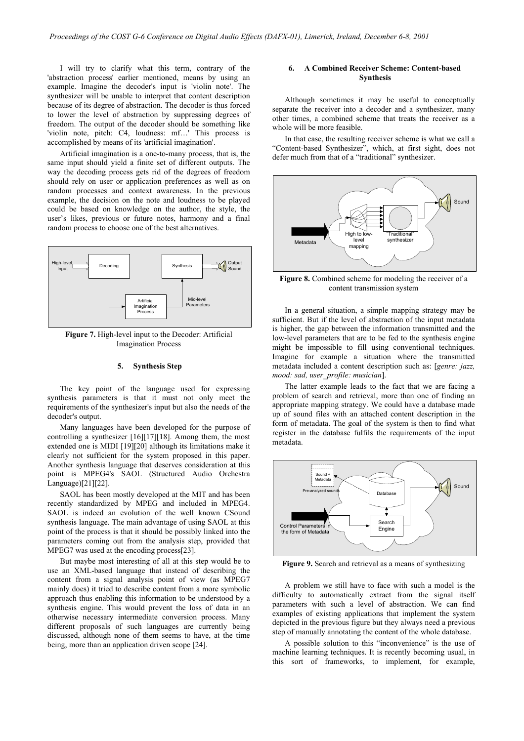I will try to clarify what this term, contrary of the 'abstraction process' earlier mentioned, means by using an example. Imagine the decoder's input is 'violin note'. The synthesizer will be unable to interpret that content description because of its degree of abstraction. The decoder is thus forced to lower the level of abstraction by suppressing degrees of freedom. The output of the decoder should be something like 'violin note, pitch: C4, loudness: mf…' This process is accomplished by means of its 'artificial imagination'.

Artificial imagination is a one-to-many process, that is, the same input should yield a finite set of different outputs. The way the decoding process gets rid of the degrees of freedom should rely on user or application preferences as well as on random processes and context awareness. In the previous example, the decision on the note and loudness to be played could be based on knowledge on the author, the style, the user's likes, previous or future notes, harmony and a final random process to choose one of the best alternatives.



**Figure 7.** High-level input to the Decoder: Artificial Imagination Process

### **5. Synthesis Step**

The key point of the language used for expressing synthesis parameters is that it must not only meet the requirements of the synthesizer's input but also the needs of the decoder's output.

Many languages have been developed for the purpose of controlling a synthesizer [16][17][18]. Among them, the most extended one is MIDI [19][20] although its limitations make it clearly not sufficient for the system proposed in this paper. Another synthesis language that deserves consideration at this point is MPEG4's SAOL (Structured Audio Orchestra Language)[21][22].

SAOL has been mostly developed at the MIT and has been recently standardized by MPEG and included in MPEG4. SAOL is indeed an evolution of the well known CSound synthesis language. The main advantage of using SAOL at this point of the process is that it should be possibly linked into the parameters coming out from the analysis step, provided that MPEG7 was used at the encoding process[23].

But maybe most interesting of all at this step would be to use an XML-based language that instead of describing the content from a signal analysis point of view (as MPEG7 mainly does) it tried to describe content from a more symbolic approach thus enabling this information to be understood by a synthesis engine. This would prevent the loss of data in an otherwise necessary intermediate conversion process. Many different proposals of such languages are currently being discussed, although none of them seems to have, at the time being, more than an application driven scope [24].

## **6. A Combined Receiver Scheme: Content-based Synthesis**

Although sometimes it may be useful to conceptually separate the receiver into a decoder and a synthesizer, many other times, a combined scheme that treats the receiver as a whole will be more feasible.

In that case, the resulting receiver scheme is what we call a "Content-based Synthesizer", which, at first sight, does not defer much from that of a "traditional" synthesizer.



**Figure 8.** Combined scheme for modeling the receiver of a content transmission system

In a general situation, a simple mapping strategy may be sufficient. But if the level of abstraction of the input metadata is higher, the gap between the information transmitted and the low-level parameters that are to be fed to the synthesis engine might be impossible to fill using conventional techniques. Imagine for example a situation where the transmitted metadata included a content description such as: [*genre: jazz, mood: sad, user\_profile: musician*].

The latter example leads to the fact that we are facing a problem of search and retrieval, more than one of finding an appropriate mapping strategy. We could have a database made up of sound files with an attached content description in the form of metadata. The goal of the system is then to find what register in the database fulfils the requirements of the input metadata.



**Figure 9.** Search and retrieval as a means of synthesizing

A problem we still have to face with such a model is the difficulty to automatically extract from the signal itself parameters with such a level of abstraction. We can find examples of existing applications that implement the system depicted in the previous figure but they always need a previous step of manually annotating the content of the whole database.

A possible solution to this "inconvenience" is the use of machine learning techniques. It is recently becoming usual, in this sort of frameworks, to implement, for example,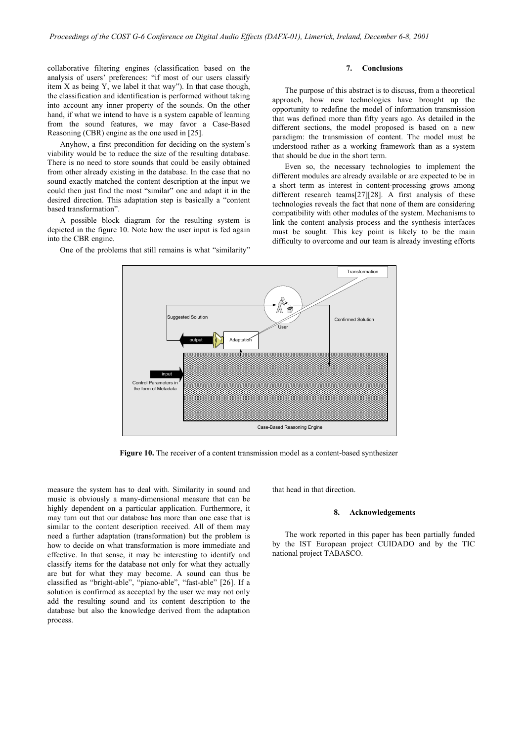collaborative filtering engines (classification based on the analysis of users' preferences: "if most of our users classify item X as being  $Y$ , we label it that way"). In that case though, the classification and identification is performed without taking into account any inner property of the sounds. On the other hand, if what we intend to have is a system capable of learning from the sound features, we may favor a Case-Based Reasoning (CBR) engine as the one used in [25].

Anyhow, a first precondition for deciding on the system's viability would be to reduce the size of the resulting database. There is no need to store sounds that could be easily obtained from other already existing in the database. In the case that no sound exactly matched the content description at the input we could then just find the most "similar" one and adapt it in the desired direction. This adaptation step is basically a "content based transformation".

A possible block diagram for the resulting system is depicted in the figure 10. Note how the user input is fed again into the CBR engine.

One of the problems that still remains is what "similarity"

#### **7. Conclusions**

The purpose of this abstract is to discuss, from a theoretical approach, how new technologies have brought up the opportunity to redefine the model of information transmission that was defined more than fifty years ago. As detailed in the different sections, the model proposed is based on a new paradigm: the transmission of content. The model must be understood rather as a working framework than as a system that should be due in the short term.

Even so, the necessary technologies to implement the different modules are already available or are expected to be in a short term as interest in content-processing grows among different research teams[27][28]. A first analysis of these technologies reveals the fact that none of them are considering compatibility with other modules of the system. Mechanisms to link the content analysis process and the synthesis interfaces must be sought. This key point is likely to be the main difficulty to overcome and our team is already investing efforts



Figure 10. The receiver of a content transmission model as a content-based synthesizer

measure the system has to deal with. Similarity in sound and music is obviously a many-dimensional measure that can be highly dependent on a particular application. Furthermore, it may turn out that our database has more than one case that is similar to the content description received. All of them may need a further adaptation (transformation) but the problem is how to decide on what transformation is more immediate and effective. In that sense, it may be interesting to identify and classify items for the database not only for what they actually are but for what they may become. A sound can thus be classified as "bright-able", "piano-able", "fast-able" [26]. If a solution is confirmed as accepted by the user we may not only add the resulting sound and its content description to the database but also the knowledge derived from the adaptation process.

that head in that direction.

#### **8. Acknowledgements**

The work reported in this paper has been partially funded by the IST European project CUIDADO and by the TIC national project TABASCO.